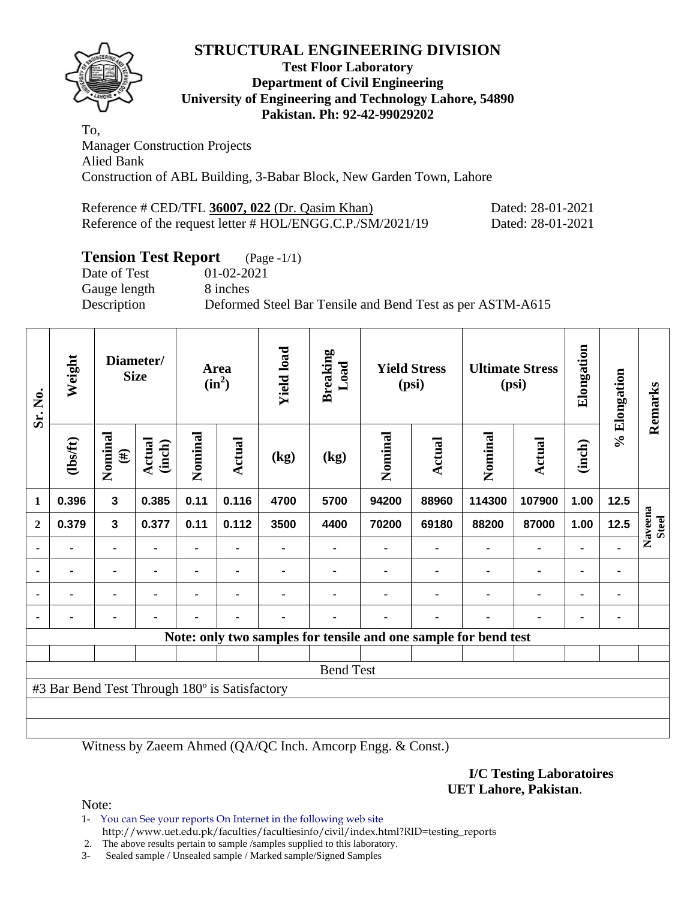

#### **Test Floor Laboratory Department of Civil Engineering University of Engineering and Technology Lahore, 54890 Pakistan. Ph: 92-42-99029202**

To, Manager Construction Projects Alied Bank Construction of ABL Building, 3-Babar Block, New Garden Town, Lahore

| Reference # CED/TFL $36007$ , $022$ (Dr. Qasim Khan)       | Dated: 28-01-2021 |
|------------------------------------------------------------|-------------------|
| Reference of the request letter # HOL/ENGG.C.P./SM/2021/19 | Dated: 28-01-2021 |

## **Tension Test Report** (Page -1/1)

Gauge length 8 inches

Date of Test 01-02-2021 Description Deformed Steel Bar Tensile and Bend Test as per ASTM-A615

| Sr. No.        | Weight                                        |                   | Diameter/<br><b>Size</b> |                | Area<br>$(in^2)$ | <b>Yield load</b> | <b>Breaking</b><br>Load |         | <b>Yield Stress</b><br>(psi) |                                                                 | <b>Ultimate Stress</b><br>(psi) | Elongation     | % Elongation | Remarks                 |
|----------------|-----------------------------------------------|-------------------|--------------------------|----------------|------------------|-------------------|-------------------------|---------|------------------------------|-----------------------------------------------------------------|---------------------------------|----------------|--------------|-------------------------|
|                | (1bsft)                                       | Nominal<br>$(\#)$ | <b>Actual</b><br>(inch)  | Nominal        | Actual           | (kg)              | (kg)                    | Nominal | Actual                       | Nominal                                                         | Actual                          | (inch)         |              |                         |
| $\mathbf{1}$   | 0.396                                         | $\mathbf{3}$      | 0.385                    | 0.11           | 0.116            | 4700              | 5700                    | 94200   | 88960                        | 114300                                                          | 107900                          | 1.00           | 12.5         |                         |
| $\overline{2}$ | 0.379                                         | $\mathbf{3}$      | 0.377                    | 0.11           | 0.112            | 3500              | 4400                    | 70200   | 69180                        | 88200                                                           | 87000                           | 1.00           | 12.5         | Naveena<br><b>Steel</b> |
| ٠              |                                               |                   | ۰                        | $\blacksquare$ | $\blacksquare$   |                   |                         |         |                              | $\blacksquare$                                                  | $\blacksquare$                  |                |              |                         |
| ٠              | ۰                                             | ۰                 | ٠                        | $\blacksquare$ | $\blacksquare$   |                   |                         |         |                              | ä,                                                              | $\blacksquare$                  | $\blacksquare$ | ٠            |                         |
|                | $\blacksquare$                                | ۰                 | $\blacksquare$           | $\blacksquare$ | $\blacksquare$   |                   |                         |         |                              |                                                                 | $\blacksquare$                  |                | ٠            |                         |
|                |                                               | -                 |                          |                |                  |                   |                         |         |                              |                                                                 |                                 |                | ۰            |                         |
|                |                                               |                   |                          |                |                  |                   |                         |         |                              | Note: only two samples for tensile and one sample for bend test |                                 |                |              |                         |
|                |                                               |                   |                          |                |                  |                   |                         |         |                              |                                                                 |                                 |                |              |                         |
|                |                                               |                   |                          |                |                  |                   | <b>Bend Test</b>        |         |                              |                                                                 |                                 |                |              |                         |
|                | #3 Bar Bend Test Through 180° is Satisfactory |                   |                          |                |                  |                   |                         |         |                              |                                                                 |                                 |                |              |                         |
|                |                                               |                   |                          |                |                  |                   |                         |         |                              |                                                                 |                                 |                |              |                         |
|                |                                               |                   |                          |                |                  |                   |                         |         |                              |                                                                 |                                 |                |              |                         |

Witness by Zaeem Ahmed (QA/QC Inch. Amcorp Engg. & Const.)

**I/C Testing Laboratoires UET Lahore, Pakistan**.

Note:

1- You can See your reports On Internet in the following web site http://www.uet.edu.pk/faculties/facultiesinfo/civil/index.html?RID=testing\_reports

2. The above results pertain to sample /samples supplied to this laboratory.

3- Sealed sample / Unsealed sample / Marked sample/Signed Samples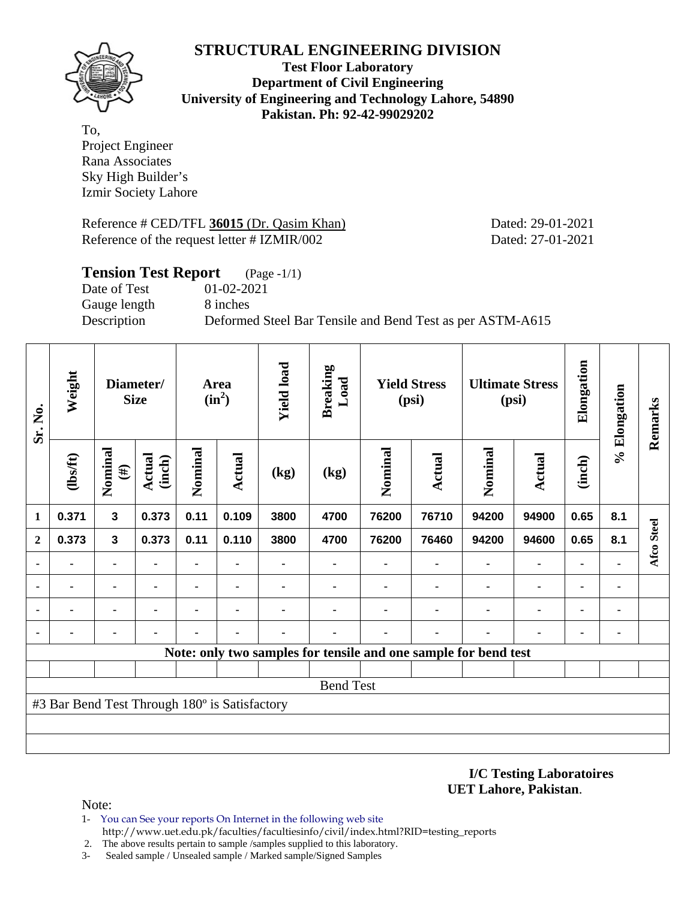

**Test Floor Laboratory Department of Civil Engineering University of Engineering and Technology Lahore, 54890 Pakistan. Ph: 92-42-99029202** 

To, Project Engineer Rana Associates Sky High Builder's Izmir Society Lahore

Reference # CED/TFL 36015 (Dr. Qasim Khan) Dated: 29-01-2021 Reference of the request letter # IZMIR/002 Dated: 27-01-2021

| <b>Tension Test Report</b> | $(Page - 1/1)$                                            |
|----------------------------|-----------------------------------------------------------|
| Date of Test               | 01-02-2021                                                |
| Gauge length               | 8 inches                                                  |
| Description                | Deformed Steel Bar Tensile and Bend Test as per ASTM-A615 |
|                            |                                                           |

| Sr. No.      | Weight                                        |                   | Diameter/<br><b>Size</b> |         | Area<br>$(in^2)$ | <b>Yield load</b> | <b>Breaking</b><br>Load                                         |         | <b>Yield Stress</b><br>(psi) |                | <b>Ultimate Stress</b><br>(psi) | Elongation     | % Elongation | Remarks    |
|--------------|-----------------------------------------------|-------------------|--------------------------|---------|------------------|-------------------|-----------------------------------------------------------------|---------|------------------------------|----------------|---------------------------------|----------------|--------------|------------|
|              | (lbs/ft)                                      | Nominal<br>$(\#)$ | <b>Actual</b><br>(inch)  | Nominal | Actual           | (kg)              | (kg)                                                            | Nominal | <b>Actual</b>                | Nominal        | Actual                          | (inch)         |              |            |
| 1            | 0.371                                         | $\mathbf{3}$      | 0.373                    | 0.11    | 0.109            | 3800              | 4700                                                            | 76200   | 76710                        | 94200          | 94900                           | 0.65           | 8.1          |            |
| $\mathbf{2}$ | 0.373                                         | $\mathbf{3}$      | 0.373                    | 0.11    | 0.110            | 3800              | 4700                                                            | 76200   | 76460                        | 94200          | 94600                           | 0.65           | 8.1          | Afco Steel |
|              |                                               |                   |                          | ۰       |                  |                   |                                                                 |         |                              |                | ۰                               | $\blacksquare$ |              |            |
|              | $\blacksquare$                                | ۰                 |                          | ۰       | ٠                |                   |                                                                 |         |                              | $\blacksquare$ | ۰                               | $\blacksquare$ | ۰            |            |
|              |                                               | ٠                 |                          | ۰       | $\blacksquare$   |                   |                                                                 |         |                              | $\blacksquare$ | ۰                               | $\blacksquare$ | ۰            |            |
|              |                                               |                   |                          |         |                  |                   |                                                                 |         |                              |                |                                 | -              | ۰            |            |
|              |                                               |                   |                          |         |                  |                   | Note: only two samples for tensile and one sample for bend test |         |                              |                |                                 |                |              |            |
|              |                                               |                   |                          |         |                  |                   |                                                                 |         |                              |                |                                 |                |              |            |
|              |                                               |                   |                          |         |                  |                   | <b>Bend Test</b>                                                |         |                              |                |                                 |                |              |            |
|              | #3 Bar Bend Test Through 180° is Satisfactory |                   |                          |         |                  |                   |                                                                 |         |                              |                |                                 |                |              |            |
|              |                                               |                   |                          |         |                  |                   |                                                                 |         |                              |                |                                 |                |              |            |
|              |                                               |                   |                          |         |                  |                   |                                                                 |         |                              |                |                                 |                |              |            |

**I/C Testing Laboratoires UET Lahore, Pakistan**.

Note:

- 1- You can See your reports On Internet in the following web site http://www.uet.edu.pk/faculties/facultiesinfo/civil/index.html?RID=testing\_reports
- 2. The above results pertain to sample /samples supplied to this laboratory.
- 3- Sealed sample / Unsealed sample / Marked sample/Signed Samples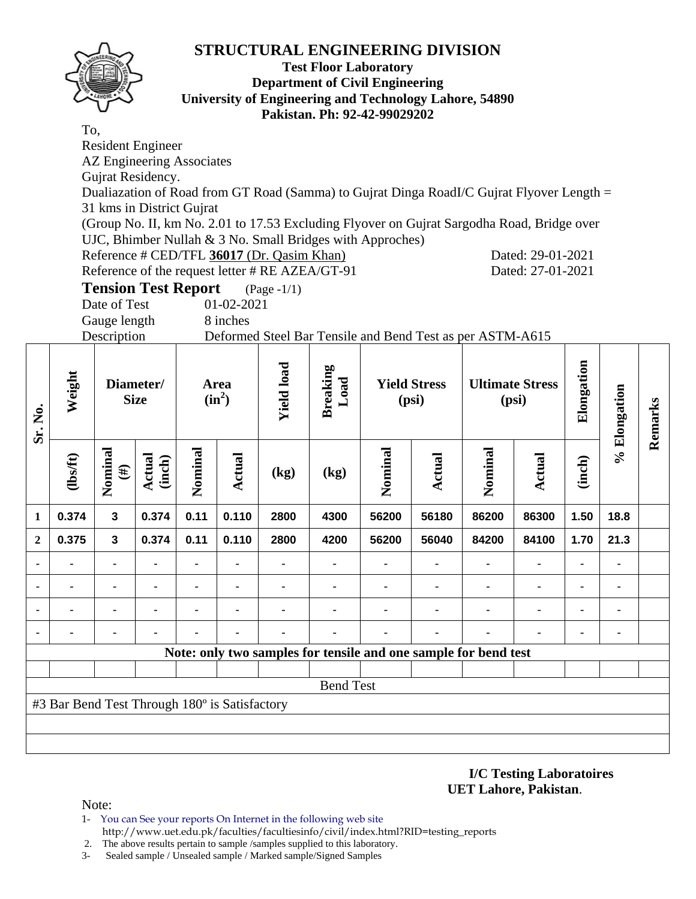

#### **Test Floor Laboratory Department of Civil Engineering University of Engineering and Technology Lahore, 54890 Pakistan. Ph: 92-42-99029202**

|                  | To,                                                                                                                                     |                         |                                  |                  |            |                   |                                                                                           |                     |                |                |                        |            |              |         |
|------------------|-----------------------------------------------------------------------------------------------------------------------------------------|-------------------------|----------------------------------|------------------|------------|-------------------|-------------------------------------------------------------------------------------------|---------------------|----------------|----------------|------------------------|------------|--------------|---------|
|                  |                                                                                                                                         |                         | <b>Resident Engineer</b>         |                  |            |                   |                                                                                           |                     |                |                |                        |            |              |         |
|                  |                                                                                                                                         |                         | <b>AZ Engineering Associates</b> |                  |            |                   |                                                                                           |                     |                |                |                        |            |              |         |
|                  |                                                                                                                                         |                         | Gujrat Residency.                |                  |            |                   |                                                                                           |                     |                |                |                        |            |              |         |
|                  |                                                                                                                                         |                         |                                  |                  |            |                   | Dualiazation of Road from GT Road (Samma) to Gujrat Dinga RoadI/C Gujrat Flyover Length = |                     |                |                |                        |            |              |         |
|                  |                                                                                                                                         |                         | 31 kms in District Gujrat        |                  |            |                   |                                                                                           |                     |                |                |                        |            |              |         |
|                  | (Group No. II, km No. 2.01 to 17.53 Excluding Flyover on Gujrat Sargodha Road, Bridge over                                              |                         |                                  |                  |            |                   |                                                                                           |                     |                |                |                        |            |              |         |
|                  | UJC, Bhimber Nullah & 3 No. Small Bridges with Approches)                                                                               |                         |                                  |                  |            |                   |                                                                                           |                     |                |                |                        |            |              |         |
|                  | Reference # CED/TFL 36017 (Dr. Qasim Khan)<br>Dated: 29-01-2021<br>Reference of the request letter # RE AZEA/GT-91<br>Dated: 27-01-2021 |                         |                                  |                  |            |                   |                                                                                           |                     |                |                |                        |            |              |         |
|                  |                                                                                                                                         |                         |                                  |                  |            |                   |                                                                                           |                     |                |                |                        |            |              |         |
|                  |                                                                                                                                         | Date of Test            | <b>Tension Test Report</b>       |                  | 01-02-2021 | $(Page -1/1)$     |                                                                                           |                     |                |                |                        |            |              |         |
|                  |                                                                                                                                         | Gauge length            |                                  |                  | 8 inches   |                   |                                                                                           |                     |                |                |                        |            |              |         |
|                  |                                                                                                                                         | Description             |                                  |                  |            |                   | Deformed Steel Bar Tensile and Bend Test as per ASTM-A615                                 |                     |                |                |                        |            |              |         |
|                  |                                                                                                                                         |                         |                                  |                  |            |                   |                                                                                           |                     |                |                |                        |            |              |         |
|                  |                                                                                                                                         |                         |                                  |                  |            |                   |                                                                                           |                     |                |                |                        |            |              |         |
|                  | Weight                                                                                                                                  |                         | Diameter/                        | Area<br>$(in^2)$ |            | <b>Yield load</b> | <b>Breaking</b><br>Load                                                                   | <b>Yield Stress</b> |                |                | <b>Ultimate Stress</b> | Elongation |              |         |
|                  |                                                                                                                                         |                         | <b>Size</b>                      |                  |            |                   |                                                                                           |                     | (psi)          |                | (psi)                  |            |              |         |
| Sr. No.          |                                                                                                                                         |                         |                                  |                  |            |                   |                                                                                           |                     |                |                |                        |            |              |         |
|                  |                                                                                                                                         |                         |                                  |                  |            |                   |                                                                                           |                     |                |                |                        |            | % Elongation | Remarks |
|                  |                                                                                                                                         |                         |                                  |                  |            |                   |                                                                                           |                     |                |                |                        |            |              |         |
|                  |                                                                                                                                         |                         |                                  |                  |            |                   |                                                                                           |                     |                |                |                        |            |              |         |
|                  |                                                                                                                                         |                         |                                  |                  |            | (kg)              | (kg)                                                                                      |                     |                |                |                        |            |              |         |
|                  | (1bsft)                                                                                                                                 | Nominal<br>$(\#)$       | Actual<br>(inch)                 | Nominal          | Actual     |                   |                                                                                           | Nominal             | Actual         | Nominal        | <b>Actual</b>          | (inch)     |              |         |
| $\mathbf{1}$     | 0.374                                                                                                                                   | $\mathbf{3}$            | 0.374                            | 0.11             | 0.110      | 2800              | 4300                                                                                      | 56200               | 56180          | 86200          | 86300                  | 1.50       | 18.8         |         |
|                  |                                                                                                                                         |                         |                                  |                  |            |                   |                                                                                           |                     |                |                |                        |            |              |         |
| $\boldsymbol{2}$ | 0.375                                                                                                                                   | $\overline{\mathbf{3}}$ | 0.374                            | 0.11             | 0.110      | 2800              | 4200                                                                                      | 56200               | 56040          | 84200          | 84100                  | 1.70       | 21.3         |         |
|                  |                                                                                                                                         |                         | ä,                               |                  | ä,         | $\blacksquare$    | $\blacksquare$                                                                            | $\blacksquare$      | $\blacksquare$ | $\blacksquare$ | $\blacksquare$         |            | ä,           |         |
|                  |                                                                                                                                         |                         |                                  |                  |            |                   |                                                                                           |                     |                |                |                        |            |              |         |
|                  |                                                                                                                                         |                         |                                  |                  |            |                   | $\qquad \qquad \blacksquare$                                                              | ۰                   | ۰              |                | -                      |            |              |         |
|                  |                                                                                                                                         |                         |                                  |                  |            |                   |                                                                                           |                     |                |                |                        |            |              |         |
|                  |                                                                                                                                         |                         |                                  |                  |            |                   | Note: only two samples for tensile and one sample for bend test                           |                     |                |                |                        |            |              |         |
|                  |                                                                                                                                         |                         |                                  |                  |            |                   |                                                                                           |                     |                |                |                        |            |              |         |
|                  |                                                                                                                                         |                         |                                  |                  |            |                   | <b>Bend Test</b>                                                                          |                     |                |                |                        |            |              |         |
|                  | #3 Bar Bend Test Through 180° is Satisfactory                                                                                           |                         |                                  |                  |            |                   |                                                                                           |                     |                |                |                        |            |              |         |
|                  |                                                                                                                                         |                         |                                  |                  |            |                   |                                                                                           |                     |                |                |                        |            |              |         |

**I/C Testing Laboratoires UET Lahore, Pakistan**.

Note:

- 1- You can See your reports On Internet in the following web site http://www.uet.edu.pk/faculties/facultiesinfo/civil/index.html?RID=testing\_reports
- 2. The above results pertain to sample /samples supplied to this laboratory.<br>3- Sealed sample / Unsealed sample / Marked sample/Signed Samples
- Sealed sample / Unsealed sample / Marked sample/Signed Samples